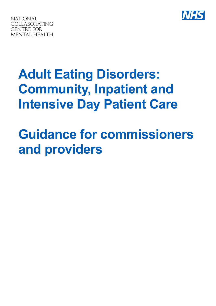



# **Adult Eating Disorders: Community, Inpatient and Intensive Day Patient Care**

# **Guidance for commissioners and providers**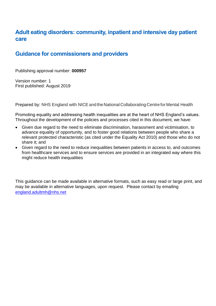# <span id="page-1-0"></span>**Adult eating disorders: community, inpatient and intensive day patient care**

# <span id="page-1-1"></span>**Guidance for commissioners and providers**

Publishing approval number: **000957**

Version number: 1 First published: August 2019

Prepared by: NHS England with NICE and the National Collaborating Centre for Mental Health

Promoting equality and addressing health inequalities are at the heart of NHS England's values. Throughout the development of the policies and processes cited in this document, we have:

- Given due regard to the need to eliminate discrimination, harassment and victimisation, to advance equality of opportunity, and to foster good relations between people who share a relevant protected characteristic (as cited under the Equality Act 2010) and those who do not share it; and
- Given regard to the need to reduce inequalities between patients in access to, and outcomes from healthcare services and to ensure services are provided in an integrated way where this might reduce health inequalities

This guidance can be made available in alternative formats, such as easy read or large print, and may be available in alternative languages, upon request. Please contact by emailing [england.adultmh@nhs.net](file://///ims.gov.uk/Data/NHS_ENGLAND/SkiptonHouse/Eating%20Disorder%20Prog%20(CYP%20and%20Adults)/Comms/Media%20or%20web/Eating%20Disorder%20CYP%20and%20Adult%20PAC/For%20NM%20and%20RM%20for%20formatting%20pre-pub/england.adultmh@nhs.net%20)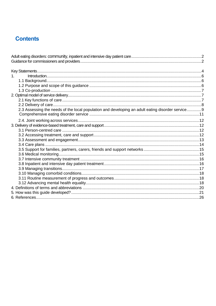# **Contents**

| $1_{-}$                                                                                          |  |
|--------------------------------------------------------------------------------------------------|--|
|                                                                                                  |  |
|                                                                                                  |  |
|                                                                                                  |  |
|                                                                                                  |  |
|                                                                                                  |  |
|                                                                                                  |  |
| 2.3 Assessing the needs of the local population and developing an adult eating disorder service9 |  |
|                                                                                                  |  |
|                                                                                                  |  |
|                                                                                                  |  |
|                                                                                                  |  |
|                                                                                                  |  |
|                                                                                                  |  |
|                                                                                                  |  |
|                                                                                                  |  |
|                                                                                                  |  |
|                                                                                                  |  |
|                                                                                                  |  |
|                                                                                                  |  |
|                                                                                                  |  |
|                                                                                                  |  |
|                                                                                                  |  |
|                                                                                                  |  |
|                                                                                                  |  |
|                                                                                                  |  |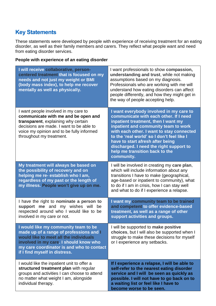# <span id="page-3-0"></span>**Key Statements**

These statements were developed by people with experience of receiving treatment for an eating disorder, as well as their family members and carers. They reflect what people want and need from eating disorder services.

#### **People with experience of an eating disorder**

| I will receive collaborative, person-<br>centered treatment that is focused on my<br>needs and not just my weight or BMI<br>(body mass index), to help me recover<br>mentally as well as physically.                                              | I want professionals to show compassion,<br>understanding and trust, while not making<br>assumptions based on my diagnosis.<br>Professionals who are working with me will<br>understand how eating disorders can affect<br>people differently, and how they might get in<br>the way of people accepting help.                                                                              |
|---------------------------------------------------------------------------------------------------------------------------------------------------------------------------------------------------------------------------------------------------|--------------------------------------------------------------------------------------------------------------------------------------------------------------------------------------------------------------------------------------------------------------------------------------------------------------------------------------------------------------------------------------------|
| I want people involved in my care to<br>communicate with me and be open and<br>transparent, explaining why certain<br>decisions are made. I want to be able to<br>voice my opinion and to be fully informed<br>throughout my treatment.           | I want everybody involved in my care to<br>communicate with each other. If I need<br>inpatient treatment, then I want my<br>inpatient and community team to work<br>with each other. I want to stay connected<br>to the 'real world' so I don't feel like I<br>have to start afresh after being<br>discharged. I need the right support to<br>help me transition back to the<br>community. |
| My treatment will always be based on<br>the possibility of recovery and on<br>helping me re- establish who I am,<br>regardless of my past or the length of<br>my illness. People won't give up on me.                                             | I will be involved in creating my care plan,<br>which will include information about any<br>transitions I have to make (geographical,<br>age-based or inpatient to community), what<br>to do if I am in crisis, how I can stay well<br>and what to do if I experience a relapse.                                                                                                           |
| I have the right to nominate a person to<br>support me and my wishes will<br>be<br>respected around who I would like to be<br>involved in my care or not.                                                                                         | I want my community team to be trained<br>and competent to offer evidence-based<br>treatment, as well as a range of other<br>support activities and groups.                                                                                                                                                                                                                                |
| I would like my community team to be<br>made up of a range of professions and I<br>would like to meet all the individuals<br>involved in my care. I should know who<br>my care coordinator is and who to contact<br>if I find myself in distress. | will be supported to make positive<br>choices, but I will also be supported when I<br>struggle to make these decisions for myself<br>or I experience any setbacks.                                                                                                                                                                                                                         |
| I would like the inpatient unit to offer a<br>structured treatment plan with regular<br>groups and activities I can choose to attend<br>no matter what weight I am, alongside<br>individual therapy.                                              | If I experience a relapse, I will be able to<br>self-refer to the nearest eating disorder<br>service and I will be seen as quickly as<br>possible. I will not have to go back on to<br>a waiting list or feel like I have to<br>become worse to be seen.                                                                                                                                   |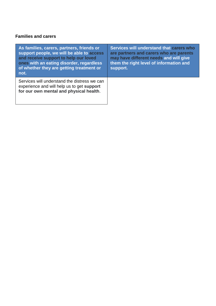#### **Families and carers**

| As families, carers, partners, friends or<br>support people, we will be able to access<br>and receive support to help our loved<br>ones with an eating disorder, regardless<br>of whether they are getting treatment or<br>not. | Services will understand that carers who<br>are partners and carers who are parents<br>may have different needs and will give<br>them the right level of information and<br>support. |
|---------------------------------------------------------------------------------------------------------------------------------------------------------------------------------------------------------------------------------|--------------------------------------------------------------------------------------------------------------------------------------------------------------------------------------|
| Services will understand the distress we can<br>experience and will help us to get support<br>for our own mental and physical health.                                                                                           |                                                                                                                                                                                      |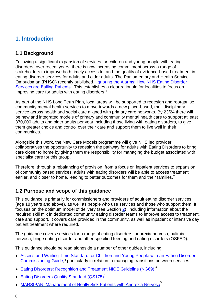# <span id="page-5-0"></span>**1. Introduction**

#### <span id="page-5-1"></span>**1.1 Background**

Following a significant expansion of services for children and young people with eating disorders, over recent years, there is now increasing commitment across a range of stakeholders to improve both timely access to, and the quality of evidence-based treatment in, eating disorder services for adults and older adults. The Parliamentary and Health Service Ombudsman (PHSO) recently published, ['Ignoring the Alarms: How NHS Eating Disorder](https://www.ombudsman.org.uk/sites/default/files/page/FINAL%20FOR%20WEB%20Anorexia%20Report.pdf)  [Services are Failing Patients'.](https://www.ombudsman.org.uk/sites/default/files/page/FINAL%20FOR%20WEB%20Anorexia%20Report.pdf) This establishes a clear rationale for localities to focus on improving care for adults with eating disorders.<sup>1</sup>

As part of the NHS Long Term Plan, local areas will be supported to redesign and reorganise community mental health services to move towards a new place-based, multidisciplinary service across health and social care aligned with primary care networks. By 23/24 there will be new and integrated models of primary and community mental health care to support at least 370,000 adults and older adults per year including those living with eating disorders, to give them greater choice and control over their care and support them to live well in their communities.

Alongside this work, the New Care Models programme will give NHS led provider collaboratives the opportunity to redesign the pathway for adults with Eating Disorders to bring care closer to home by giving them the responsibility for managing the budget associated with specialist care for this group.

Therefore, through a rebalancing of provision, from a focus on inpatient services to expansion of community based services, adults with eating disorders will be able to access treatment earlier, and closer to home, leading to better outcomes for them and their families.<sup>2</sup>

#### <span id="page-5-2"></span>**1.2 Purpose and scope of this guidance**

This guidance is primarily for commissioners and providers of adult eating disorder services (age 18 years and above), as well as people who use services and those who support them. It focuses on the optimum model of delivery (see Section [2\)](#page-6-3), including information about the required skill mix in dedicated community eating disorder teams to improve access to treatment, care and support. It covers care provided in the community, as well as inpatient or intensive day patient treatment where required.

The guidance covers services for a range of eating disorders; anorexia nervosa, bulimia nervosa, binge eating disorder and other specified feeding and eating disorders (OSFED).

This guidance should be read alongside a number of other guides, including:

- [Access and Waiting Time Standard for Children](https://www.england.nhs.uk/wp-content/uploads/2015/07/cyp-eating-disorders-access-waiting-time-standard-comm-guid.pdf) [and Young People with an Eating Disorder:](https://www.england.nhs.uk/wp-content/uploads/2015/07/cyp-eating-disorders-access-waiting-time-standard-comm-guid.pdf) [Commissioning Guide,](https://www.england.nhs.uk/wp-content/uploads/2015/07/cyp-eating-disorders-access-waiting-time-standard-comm-guid.pdf)<sup>4</sup> particularly in relation to managing transitions between services
- [Eating Disorders: Recognition and Treatment](https://www.nice.org.uk/guidance/ng69) [NICE Guideline](https://www.nice.org.uk/guidance/ng69) (NG69)<sup>2</sup>
- [Eating Disorders Quality Standard](https://www.nice.org.uk/guidance/qs175) (QS175)<sup>4</sup>
- [MARSIPAN: Management of Really Sick](https://www.rcpsych.ac.uk/docs/default-source/improving-care/better-mh-policy/college-reports/college-report-cr189.pdf?sfvrsn=6c2e7ada_2) [Patients with Anorexia](https://www.rcpsych.ac.uk/docs/default-source/improving-care/better-mh-policy/college-reports/college-report-cr189.pdf?sfvrsn=6c2e7ada_2) Nervosa<sup>5</sup>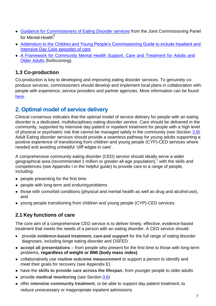- [Guidance for Commissioners of Eating](https://www.jcpmh.info/resource/guidance-commissioners-eating-disorder-services/) [Disorder services](https://www.jcpmh.info/resource/guidance-commissioners-eating-disorder-services/) from the Joint Commissioning Panel for Mental Health $^6$
- Addendum to the Children and Young People's Commissioning Guide to include Inpatient and [Intensive Day Care episodes of care](https://www.england.nhs.uk/mental-health/cyp/eating-disorders/)
- [A Framework for Community Mental Health Support, Care and Treatment for Adults and](https://www.england.nhs.uk/mental-health/adults/cmhs/)  **[Older Adults](https://www.england.nhs.uk/mental-health/adults/cmhs/)** (forthcoming).

## <span id="page-6-0"></span>**1.3 Co-production**

Co-production is key to developing and improving eating disorder services. To genuinely coproduce services, commissioners should develop and implement local plans in collaboration with: people with experience, service providers and partner agencies. More information can be found [here.](https://www.rcpsych.ac.uk/news-and-features/latest-news/detail/2019/05/09/new-tools-to-tackle-inequalities-in-mental-health-care-by-involving-patients-in-service-design)

# <span id="page-6-3"></span><span id="page-6-1"></span>**2. Optimal model of service delivery**

Clinical consensus indicates that the optimal model of service delivery for people with an eating disorder is a dedicated, multidisciplinary eating disorder service. Care should be delivered in the community, supported by intensive day patient or inpatient treatment for people with a high level of physical or psychiatric risk that cannot be managed safely in the community (see Section [3.9\)](#page-16-0). Adult Eating disorder services should provide a seamless pathway for young adults supporting a positive experience of transitioning from children and young people (CYP)-CED services where needed and avoiding unhelpful 'cliff edges in care'.

A comprehensive community eating disorder (CED) service should ideally serve a wider geographical area (recommended 1 million or greater all-age population),<sup>7</sup> with the skills and competences (see Appendix I in the helpful guide) to provide care to a range of people, including:

- people presenting for the first time
- people with long-term and enduring problems
- those with comorbid conditions (physical and mental health as well as drug and alcohol use), and
- young people transitioning from children and young people (CYP)-CED services.

#### <span id="page-6-2"></span>**2.1 Key functions of care**

The core aim of a comprehensive CED service is to deliver timely, effective, evidence-based treatment that meets the needs of a person with an eating disorder. A CED service should:

- provide **evidence-based treatment, care and support** for the full range of eating disorder diagnoses, including binge eating disorder and OSFED
- **accept all presentations**  from people who present for the first time to those with long-term problems, **regardless of weight or BMI (body mass index)**
- collaboratively use **routine outcome measurement** to support a person to identify and meet their goals for recovery (see Appendix E)
- have the **skills to provide care across the lifespan**, from younger people to older adults
- provide **medical monitoring** (see Section [3.6\)](#page-14-2)
- offer **intensive community treatment**, or be able to support day patient treatment, to reduce unnecessary or inappropriate inpatient admissions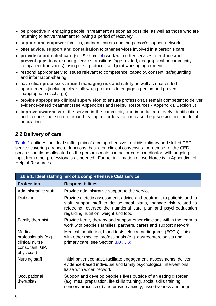- be **proactive** in engaging people in treatment as soon as possible, as well as those who are returning to active treatment following a period of recovery
- **support and empower** families, partners, carers and the person's support network
- offer **advice, support and consultation** to other services involved in a person's care
- **provide coordinated care** (see Section [2.4\)](#page-11-0) work with other services to **reduce and prevent gaps in care** during service transitions (age-related, geographical or community to inpatient transitions); using clear protocols and joint working agreements
- respond appropriately to issues relevant to competence, capacity, consent, safeguarding and information-sharing
- have **clear processes around managing risk and safety** as well as unattended appointments (including clear follow-up protocols to engage a person and prevent inappropriate discharge)
- provide **appropriate clinical supervision** to ensure professionals remain competent to deliver evidence-based treatment (see Appendices and Helpful Resources - Appendix I, Section 3)
- **improve awareness** of the service in the community, the importance of early identification and reduce the stigma around eating disorders to increase help-seeking in the local population.

#### <span id="page-7-0"></span>**2.2 Delivery of care**

[Table 1](#page-7-1) outlines the ideal staffing mix of a comprehensive, multidisciplinary and skilled CED service covering a range of functions, based on clinical consensus. A member of the CED service should be allocated as the person's main contact or care coordinator, with ongoing input from other professionals as needed. Further information on workforce is in Appendix I of Helpful Resources.

<span id="page-7-1"></span>

| Table 1: Ideal staffing mix of a comprehensive CED service                        |                                                                                                                                                                                                                                                       |  |
|-----------------------------------------------------------------------------------|-------------------------------------------------------------------------------------------------------------------------------------------------------------------------------------------------------------------------------------------------------|--|
| <b>Profession</b>                                                                 | <b>Responsibilities</b>                                                                                                                                                                                                                               |  |
| Administrative staff                                                              | Provide administrative support to the service                                                                                                                                                                                                         |  |
| <b>Dietician</b>                                                                  | Provide dietetic assessment, advice and treatment to patients and to<br>staff; support staff to devise meal plans, manage risk related to<br>refeeding; oversee the nutritional care plan and psychoeducation<br>regarding nutrition, weight and food |  |
| <b>Family therapist</b>                                                           | Provide family therapy and support other clinicians within the team to<br>work with people's families, partners, carers and support network                                                                                                           |  |
| Medical<br>professionals (e.g.<br>clinical nurse<br>consultant, GP,<br>physician) | Medical monitoring, blood tests, electrocardiograms (ECGs); liaise<br>with other medical professionals (e.g. gastroenterologists and<br>primary care; see Section 3.8, 3.6)                                                                           |  |
| Nursing staff                                                                     | Initial patient contact, facilitate engagement, assessments, deliver<br>evidence-based individual and family psychological interventions,<br>liaise with wider network                                                                                |  |
| Occupational<br>therapists                                                        | Support and develop people's lives outside of an eating disorder<br>(e.g. meal preparation, life skills training, social skills training,<br>sensory processing) and provide anxiety, assertiveness and anger                                         |  |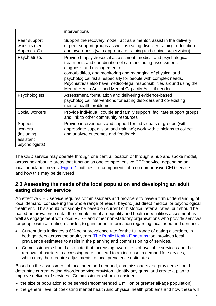|                                                                 | interventions                                                                                                                                                                                                                                                                                                                                                                                                                                          |
|-----------------------------------------------------------------|--------------------------------------------------------------------------------------------------------------------------------------------------------------------------------------------------------------------------------------------------------------------------------------------------------------------------------------------------------------------------------------------------------------------------------------------------------|
| Peer support<br>workers (see<br>Appendix G)                     | Support the recovery model, act as a mentor, assist in the delivery<br>of peer support groups as well as eating disorder training, education<br>and awareness (with appropriate training and clinical supervision)                                                                                                                                                                                                                                     |
| Psychiatrists                                                   | Provide biopsychosocial assessment, medical and psychological<br>treatments and coordination of care, including assessment,<br>diagnosis and management of<br>comorbidities, and monitoring and managing of physical and<br>psychological risks, especially for people with complex needs.<br>Psychiatrists also have medico-legal responsibilities around using the<br>Mental Health Act <sup>8</sup> and Mental Capacity Act, <sup>9</sup> if needed |
| Psychologists                                                   | Assessment, formulation and delivering evidence-based<br>psychological interventions for eating disorders and co-existing<br>mental health problems                                                                                                                                                                                                                                                                                                    |
| Social workers                                                  | Provide individual, couple and family support; facilitate support groups<br>and link to other community resources                                                                                                                                                                                                                                                                                                                                      |
| Support<br>workers<br>(including<br>assistant<br>psychologists) | Provide interventions and support for individuals or groups (with<br>appropriate supervision and training); work with clinicians to collect<br>and analyse outcomes and feedback                                                                                                                                                                                                                                                                       |

The CED service may operate through one central location or through a hub and spoke model, across neighboring areas that function as one comprehensive CED service, depending on local population needs. [Figure 1](#page-10-0) outlines the components of a comprehensive CED service and how this may be delivered.

#### <span id="page-8-0"></span>**2.3 Assessing the needs of the local population and developing an adult eating disorder service**

An effective CED service requires commissioners and providers to have a firm understanding of local demand, considering the whole range of needs, beyond just direct medical or psychological treatment. This should not simply be based on current or historical referral rates, but should be based on prevalence data, the completion of an equality and health inequalities assesment as well as engagement with local VCSE and other non-statutory organisations who provide services for people with an eating disorder, to gain further information regarding local need and demand.

- Current data indicates a 6% point prevalence rate for the full range of eating disorders, in both genders across the adult years. The [Public](https://fingertips.phe.org.uk/) [Health Fingertips](https://fingertips.phe.org.uk/) tool provides local prevalence estimates to assist in the planning and commissioning of services.
- Commissioners should also note that increasing awareness of available services and the removal of barriers to accessing care can lead to an increase in demand for services, which may then require adjustments to local prevalence estimates.

Based on the assessment of local need and demand, commissioners and providers should determine current eating disorder service provision, identify any gaps, and create a plan to improve delivery of services. Commissioners should consider:

- the size of population to be served (recommended 1 million or greater all-age population)
- the general level of coexisting mental health and physical health problems and how these will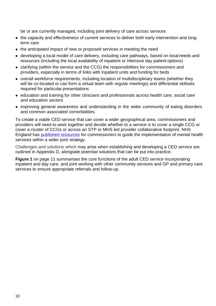be or are currently managed, including joint delivery of care across services

- the capacity and effectiveness of current services to deliver both early intervention and longterm care
- the anticipated impact of new or proposed services in meeting the need
- developing a local model of care delivery, including care pathways, based on local needs and resources (including the local availability of inpatient or intensive day patient options)
- clarifying (within the service and the CCG) the responsibilities for commissioners and providers, especially in terms of links with inpatient units and funding for beds
- overall workforce requirements, including location of multidisciplinary teams (whether they will be co-located or can form a virtual team with regular meetings) and differential skillsets required for particular presentations
- education and training for other clinicians and professionals across health care, social care and education sectors
- improving general awareness and understanding in the wider community of eating disorders and common associated comorbidities.

To create a viable CED service that can cover a wider geographical area, commissioners and providers will need to work together and decide whether to a service is to cover a single CCG or cover a cluster of CCGs or across an STP or MHS led provider collaborative footprint. NHS England has [published resources](https://www.england.nhs.uk/commissioning/) for commissioners to guide the implementation of mental health services within a wider joint strategy.

Challenges and solutions which may arise when establishing and developing a CED service are outlined in Appendix D, alongside potential solutions that can be put into practice.

**Figure 1** on page 11 summarises the core functions of the adult CED service incorporating inpatient and day care, and joint working with other community services and GP and primary care services to ensure appropriate referrals and follow-up.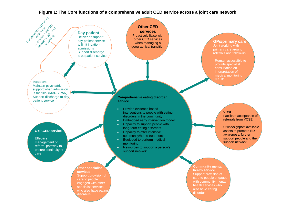<span id="page-10-0"></span>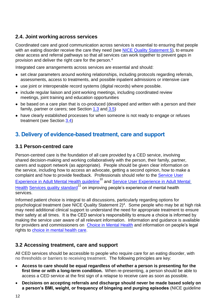#### <span id="page-11-0"></span>**2.4. Joint working across services**

Coordinated care and good communication across services is essential to ensuring that people with an eating disorder receive the care they need (see [NICE Quality Statement 5\)](https://www.nice.org.uk/guidance/qs175/chapter/Quality-statement-5-Coordinated-care-across-services), to ensure clear access and referral pathways so that all services can work together to prevent gaps in provision and deliver the right care for the person. 4

Integrated care arrangements across services are essential and should:

- set clear parameters around working relationships, including protocols regarding referrals, assessments, access to treatments, and possible inpatient admissions or intensive care
- use joint or interoperable record systems (digital records) where possible.
- include regular liaison and joint working meetings, including coordinated review meetings, joint training and education opportunities
- be based on a care plan that is co-produced (developed and written with a person and their family, partner or carers; see Section  $1.3$  and  $3.5$ )
- have clearly established processes for when someone is not ready to engage or refuses treatment (see Section [3.4\)](#page-13-0)

# <span id="page-11-1"></span>**3. Delivery of evidence-based treatment, care and support**

#### <span id="page-11-2"></span>**3.1 Person-centred care**

Person-centred care is the foundation of all care provided by a CED service, involving shared decision-making and working collaboratively with the person, their family, partner, carers and support network (as appropriate). People should be given clear information on the service, including how to access an advocate, getting a second opinion, how to make a complaint and how to provide feedback. Professionals should refer to the **Service User** [Experience in Adult Mental Health guideline](https://www.nice.org.uk/guidance/cg136)<sup>10</sup> and Service User Experience in Adult Mental [Health](https://www.nice.org.uk/guidance/qs14) [Services quality standard](https://www.nice.org.uk/guidance/qs14)<sup>11</sup> on improving people's experience of mental health services.

Informed patient choice is integral to all discussions, particularly regarding options for psychological treatment (see [NICE](https://www.nice.org.uk/guidance/qs175/chapter/Quality-statement-2-Discussion-about-psychological-treatment-options) [Quality Statement 2\)](https://www.nice.org.uk/guidance/qs175/chapter/Quality-statement-2-Discussion-about-psychological-treatment-options) 4 . Some people who may be at high risk may need additional clinical support to understand the need for appropriate treatment to ensure their safety at all times. It is the CED service's responsibility to ensure a choice is informed by making the service user aware of all relevant information. Information and guidance is available for providers and commissioners on [Choice in Mental Health](https://improvement.nhs.uk/resources/choice-mental-health/) and information on people's legal rights to [choice in mental health care.](https://www.england.nhs.uk/wp-content/uploads/2018/02/choice-in-mental-health-care-v2.pdf)

#### <span id="page-11-3"></span>**3.2 Accessing treatment, care and support**

All CED services should be accessible to people who require care for an eating disorder, with no thresholds or barriers to receiving treatment. The following principles are key:

- **Access to care should be equal regardless of whether a person is presenting for the first time or with a long-term condition.** When re-presenting, a person should be able to access a CED service at the first sign of a relapse to receive care as soon as possible.
- **Decisions on accepting referrals and discharge should never be made based solely on a person's BMI, weight, or frequency of bingeing and purging episodes** (NICE guideline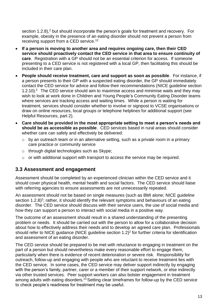section 1.2.8),<sup>2</sup> but should incorporate the person's goals for treatment and recovery. For example, obesity in the presence of an eating disorder should not prevent a person from receiving support from a CED service.<sup>12</sup>

- **If a person is moving to another area and requires ongoing care, then their CED service should proactively contact the CED service in that area to ensure continuity of care**. Registration with a GP should not be an essential criterion for access. If someone presenting to a CED service is not registered with a local GP, then facilitating this should be included in their care plan.
- **People should receive treatment, care and support as soon as possible**. For instance, if a person presents to their GP with a suspected eating disorder, the GP should immediately contact the CED service for advice and follow their recommendations (NICE guideline section 1.2.10).<sup>2</sup> The CED service should aim to maximise access and minimise waits and they may wish to look at work done in Children and Young People's Community Eating Disorder teams where services are tracking access and waiting times. While a person is waiting for treatment, services should consider whether to involve or signpost to VCSE organisations or draw on online resources, local groups or telephone helplines for additional support (see Helpful Resources, part 2).
- **Care should be provided in the most appropriate setting to meet a person's needs and should be as accessible as possible**. CED services based in rural areas should consider whether care can safely and effectively be delivered:
	- $\circ$  by an outreach team or in an alternative setting, such as a private room in a primary care practice or community service
	- o through digital technologies such as Skype;
	- o or with additional support with transport to access the service may be required.

#### <span id="page-12-0"></span>**3.3 Assessment and engagement**

Assessment should be completed by an experienced clinician within the CED service and it should cover physical health, mental health and social factors. The CED service should liaise with referring agencies to ensure assessments are not unnecessarily repeated.

An assessment should not be based on single measures (such as BMI alone; NICE guideline section 1.2.8)<sup>2</sup>; rather, it should identify the relevant symptoms and behaviours of an eating disorder. The CED service should discuss with their service users, the use of social media and how they can support a person to interact with social media in a positive way.

The outcome of an assessment should result in a shared understanding of the presenting problem or needs. It should be carried out with the person to allow for a collaborative decision about how to effectively address their needs and to develop an agreed care plan. Professionals should refer to NICE guidance (NICE guideline section 1.2)<sup>2</sup> for further criteria for identification and assessment of an eating disorder.

The CED service should be prepared to be met with reluctance to engaging in treatment on the part of a person but should nevertheless make every reasonable effort to engage them, particularly when there is evidence of recent deterioration or severe risk. Responsibility for outreach, follow-up and engaging with people who are reluctant to receive treatment lies with the CED service. In some cases, the CED service may deliver support indirectly by engaging with the person's family, partner, carer or a member of their support network, or else indirectly via other trusted services. Peer support workers can also bolster engagement in treatment among adults with eating disorders.<sup>13</sup> Setting clear timeframes for follow-up by the CED service to check people's readiness for treatment may be useful.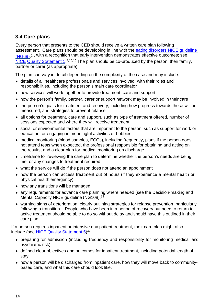## <span id="page-13-0"></span>**3.4 Care plans**

Every person that presents to the CED should receive a written care plan following assessment. Care plans should be developing in line with the [eating disorders NICE](https://www.nice.org.uk/guidance/ng69) [guideline](https://www.nice.org.uk/guidance/ng69)  [\(NG69\).](https://www.nice.org.uk/guidance/ng69)<sup>2</sup> , with a recognition that early intervention demonstrates effective outcomes; see [NICE](https://www.nice.org.uk/guidance/qs175/chapter/Quality-statement-1-Early-assessment-and-treatment) [Quality Statement 1.](https://www.nice.org.uk/guidance/qs175/chapter/Quality-statement-1-Early-assessment-and-treatment)<sup>4,15,16</sup> The plan should be co-produced by the person, their family, partner or carer (as appropriate).

The plan can vary in detail depending on the complexity of the case and may include:

- details of all healthcare professionals and services involved, with their roles and responsibilities, including the person's main care coordinator
- how services will work together to provide treatment, care and support
- how the person's family, partner, carer or support network may be involved in their care
- the person's goals for treatment and recovery, including how progress towards these will be measured, and strategies to prevent relapse
- all options for treatment, care and support, such as type of treatment offered, number of sessions expected and where they will receive treatment
- social or environmental factors that are important to the person, such as support for work or education, or engaging in meaningful activities or hobbies
- medical monitoring (blood samples, ECGs), including frequency, plans if the person does not attend tests when expected, the professional responsible for obtaining and acting on the results, and a clear plan for medical monitoring on discharge
- timeframe for reviewing the care plan to determine whether the person's needs are being met or any changes to treatment required
- what the service will do if the person does not attend an appointment
- how the person can access treatment out of hours (if they experience a mental health or physical health emergency)
- how any transitions will be managed
- any requirements for advance care planning where needed (see the Decision-making and Mental Capacity NICE guideline (NG108). 14
- warning signs of deterioration, clearly outlining strategies for relapse prevention, particularly following a transition<sup>1</sup>. People who have been in a period of recovery but need to return to active treatment should be able to do so without delay and should have this outlined in their care plan.

If a person requires inpatient or intensive day patient treatment, their care plan might also include (see **NICE Quality Statement 5**)<sup>4</sup>:

- preparing for admission (including frequency and responsibility for monitoring medical and psychiatric risk)
- defined clear objectives and outcomes for inpatient treatment, including potential length of stay
- how a person will be discharged from inpatient care, how they will move back to communitybased care, and what this care should look like.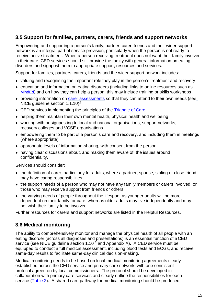#### <span id="page-14-0"></span>**3.5 Support for families, partners, carers, friends and support networks**

Empowering and supporting a person's family, partner, carer, friends and their wider support network is an integral part of service provision, particularly when the person is not ready to receive active treatment. When a person receiving treatment does not want their family involved in their care, CED services should still provide the family with general information on eating disorders and signpost them to appropriate support, resources and services.

Support for families, partners, carers, friends and the wider support network includes:

- valuing and recognising the important role they play in the person's treatment and recovery
- education and information on eating disorders (including links to online resources such as [MindEd](https://www.minded.org.uk/)) and on how they can help a person; this may include training or skills workshops
- providing information on [carer assessments](https://www.nhs.uk/conditions/social-care-and-support-guide/support-and-benefits-for-carers/carer-assessments/) so that they can attend to their own needs (see NICE guideline section 1.1.10)<sup>2</sup>
- CED services implementing the principles of the [Triangle of](https://professionals.carers.org/working-mental-health-carers/triangle-care-mental-health) Care
- helping them maintain their own mental health, physical health and wellbeing
- working with or signposting to local and national organisations, support networks, recovery colleges and VCSE organisations
- empowering them to be part of a person's care and recovery, and including them in meetings (where appropriate)
- appropriate levels of information-sharing, with consent from the person
- having clear discussions about, and making them aware of, the issues around confidentiality.

Services should consider:

- the definition of carer, particularly for adults, where a partner, spouse, sibling or close friend may have caring responsibilities
- the support needs of a person who may not have any family members or carers involved, or those who may receive support from friends or others
- the varying needs of people throughout the lifespan, as younger adults will be more dependent on their family for care, whereas older adults may live independently and may not wish their family to be involved.

Further resources for carers and support networks are listed in the Helpful Resources.

#### <span id="page-14-2"></span><span id="page-14-1"></span>**3.6 Medical monitoring**

The ability to comprehensively monitor and manage the physical health of all people with an eating disorder (across all diagnoses and presentations) is an essential function of a CED service (see NICE guideline section 1.10  $^2$  and Appendix A). A CED service must be equipped to conduct a full medical assessment, including blood tests and ECGs, and receive same-day results to facilitate same-day clinical decision-making.

Medical monitoring needs to be based on local medical monitoring agreements clearly established across the CED service and primary care network, with one consistent protocol agreed on by local commissioners. The protocol should be developed in collaboration with primary care services and clearly outline the responsibilities for each service [\(Table 2\)](#page-15-2). A shared care pathway for medical monitoring should be produced.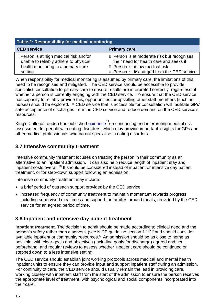| Table 2: Responsibility for medical monitoring                                                                               |                                                                                                                                  |  |
|------------------------------------------------------------------------------------------------------------------------------|----------------------------------------------------------------------------------------------------------------------------------|--|
| <b>CED service</b>                                                                                                           | <b>Primary care</b>                                                                                                              |  |
| $\Box$ Person is at high medical risk and/or<br>unable to reliably adhere to physical<br>health monitoring in a primary care | <b>■ Person is at moderate risk but recognises</b><br>their need for health care and seeks it<br>■ Person is at low medical risk |  |
| setting                                                                                                                      | <b>■ Person is discharged from the CED service</b>                                                                               |  |

<span id="page-15-2"></span>When responsibility for medical monitoring is assumed by primary care, the limitations of this need to be recognised and mitigated. The CED service should be accessible to provide specialist consultation to primary care to ensure results are interpreted correctly, regardless of whether a person is currently engaging with the CED service. To ensure that the CED service has capacity to reliably provide this, opportunities for upskilling other staff members (such as nurses) should be explored. A CED service that is accessible for consultation will facilitate GPs' safe acceptance of discharges from the CED service and reduce demand on the CED service's resources.

King's College London has published [guidance](https://www.kcl.ac.uk/ioppn/depts/pm/research/eatingdisorders/resources/GUIDETOMEDICALRISKASSESSMENT.pdf)<sup>17</sup>on conducting and interpreting medical risk assessment for people with eating disorders, which may provide important insights for GPs and other medical professionals who do not specialise in eating disorders.

#### <span id="page-15-0"></span>**3.7 Intensive community treatment**

Intensive community treatment focuses on treating the person in their community as an alternative to an inpatient admission. It can also help reduce length of inpatient stay and inpatient costs overall.<sup>18</sup> It should be considered instead of inpatient or intensive day patient treatment, or for step-down support following an admission.

Intensive community treatment may include:

- a brief period of outreach support provided by the CED service
- increased frequency of community treatment to maintain momentum towards progress, including supervised mealtimes and support for families around meals, provided by the CED service for an agreed period of time.

#### <span id="page-15-1"></span>**3.8 Inpatient and intensive day patient treatment**

**Inpatient treatment.** The decision to admit should be made according to clinical need and the person's safety rather than diagnosis (see NICE guideline section  $1.11$ ),<sup>2</sup> and should consider available inpatient or community resources.<sup>6</sup> An admission should be as close to home as possible, with clear goals and objectives (including goals for discharge) agreed and set beforehand, and regular reviews to assess whether inpatient care should be continued or stepped down to a less intensive setting.

The CED service should establish joint working protocols across medical and mental health inpatient units to ensure they can provide input and support inpatient staff during an admission. For continuity of care, the CED service should usually remain the lead in providing care, working closely with inpatient staff from the start of the admission to ensure the person receives the appropriate level of treatment, with psychological and social components incorporated into their care.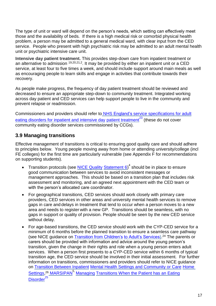The type of unit or ward will depend on the person's needs, which setting can effectively meet those and the availability of beds. If there is a high medical risk or comorbid physical health problem, a person may be admitted to a general medical ward, with clear input from the CED service. People who present with high psychiatric risk may be admitted to an adult mental health unit or psychiatric intensive care unit.

**Intensive day patient treatment.** This provides step-down care from inpatient treatment or an alternative to admission <sup>19,20,21,2</sup>. It may be provided by either an inpatient unit or a CED service, at least four to five times a week, and should include support around main meals as well as encouraging people to learn skills and engage in activities that contribute towards their recovery.

As people make progress, the frequency of day patient treatment should be reviewed and decreased to ensure an appropriate step-down to community treatment. Integrated working across day patient and CED services can help support people to live in the community and prevent relapse or readmission.

Commissioners and providers should refer to NHS England's [service specifications](https://www.england.nhs.uk/commissioning/wp-content/uploads/sites/12/2014/12/c01-spec-eat-dis-1214.pdf) for adult eating disorders for inpatient and intensive day patient treatment<sup>23</sup> (these do not cover community eating disorder services commissioned by CCGs).

## <span id="page-16-0"></span>**3.9 Managing transitions**

Effective management of transitions is critical to ensuring good quality care and should adhere to principles below. Young people moving away from home or attending university/college (incl FE colleges) for the first time are particularly vulnerable (see Appendix F for recommendations on supporting students).

- Transition protocols (see  $\underline{\sf NICE}$  Quality [Statement 6\)](https://www.nice.org.uk/guidance/qs175/chapter/Quality-statement-6-Risk-assessment-when-moving-between-services)<sup>4</sup> should be in place to ensure good communication between services to avoid inconsistent messages or management approaches. This should be based on a transition plan that includes risk assessment and monitoring, and an agreed next appointment with the CED team or with the person's allocated care coordinator.
- For geographical transitions, CED services should work closely with primary care providers, CED services in other areas and university mental health services to remove gaps in care and delays in treatment that tend to occur when a person moves to a new area and needs to register with a new GP. Transitions should be seamless, with no gaps in support or quality of provision. People should be seen by the new CED service without delay.
- For age-based transitions, the CED service should work with the CYP-CED service for a minimum of 6 months before the planned transition to ensure a seamless care pathway (see NICE guidance on [Transition from Children's](https://www.nice.org.uk/guidance/ng43) [to Adult's Services\)](https://www.nice.org.uk/guidance/ng43).<sup>24</sup> The parents or carers should be provided with information and advice around the young person's transition, given the change in their rights and role when a young person enters adult services. When a person first presents to a CYP-CED service within 6 months of typical transition age, the CED service should be involved in their initial assessment. For further information on transitions, commissioners and providers should refer to NICE guidance on [Transition Between Inpatient](https://www.nice.org.uk/guidance/ng53) [Mental Health Settings and Community or Care](https://www.nice.org.uk/guidance/ng53) [Home](https://www.nice.org.uk/guidance/ng53)  [Settings,](https://www.nice.org.uk/guidance/ng53)<sup>26</sup> [MARSIPAN](http://www.wales.nhs.uk/sitesplus/documents/866/MARSIPAN%20-%20Management%20of%20Really%20Sick%20Patients%20with%20Anorexia%20Nervosa.pdf)<sup>5,</sup> [Managing](https://www.rcpsych.ac.uk/docs/default-source/improving-care/better-mh-policy/college-reports/college-report-cr208.pdf?sfvrsn=ace4d5db_2) [Transitions When the Patient has an Eating](https://www.rcpsych.ac.uk/docs/default-source/improving-care/better-mh-policy/college-reports/college-report-cr208.pdf?sfvrsn=ace4d5db_2) [Disorder](https://www.rcpsych.ac.uk/docs/default-source/improving-care/better-mh-policy/college-reports/college-report-cr208.pdf?sfvrsn=ace4d5db_2)<sup>4</sup>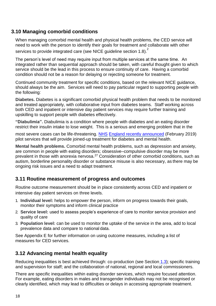#### <span id="page-17-0"></span>**3.10 Managing comorbid conditions**

When managing comorbid mental health and physical health problems, the CED service will need to work with the person to identify their goals for treatment and collaborate with other services to provide integrated care (see NICE guideline section 1.8).<sup>2</sup>

The person's level of need may require input from multiple services at the same time. An integrated rather than sequential approach should be taken, with careful thought given to which service should be the lead in this process to ensure continuity of care. Having a comorbid condition should not be a reason for delaying or rejecting someone for treatment.

Continued community treatment for specific conditions, based on the relevant NICE guidance, should always be the aim. Services will need to pay particular regard to supporting people with the following:

**Diabetes.** Diabetes is a significant comorbid physical health problem that needs to be monitored and treated appropriately, with collaborative input from diabetes teams. Staff working across both CED and inpatient or intensive day patient services may require further training and upskilling to support people with diabetes effectively.

**"Diabulimia".** Diabulimia is a condition where people with diabetes and an eating disorder restrict their insulin intake to lose weight. This is a serious and emerging problem that in the

most severe cases can be life-threatening. [NHS](https://www.england.nhs.uk/2019/02/nhs-to-give-therapy-for-harmful-social-media-as-part-of-plan-to-tackle-rare-eating-disorder/) [England recently announced](https://www.england.nhs.uk/2019/02/nhs-to-give-therapy-for-harmful-social-media-as-part-of-plan-to-tackle-rare-eating-disorder/) (February 2019) pilot services that will provide joined-up treatment for diabetes and mental health.

**Mental health problems.** Comorbid mental health problems, such as depression and anxiety, are common in people with eating disorders; obsessive–compulsive disorder may be more prevalent in those with anorexia nervosa.<sup>27</sup> Consideration of other comorbid conditions, such as autism, borderline personality disorder or substance misuse is also necessary, as there may be ongoing risk issues and a need to adapt treatment.

#### <span id="page-17-1"></span>**3.11 Routine measurement of progress and outcomes**

Routine outcome measurement should be in place consistently across CED and inpatient or intensive day patient services on three levels.

- 1. **Individual level:** helps to empower the person, inform on progress towards their goals, monitor their symptoms and inform clinical practice
- 2. **Service level:** used to assess people's experience of care to monitor service provision and quality of care
- 3. **Population level:** can be used to monitor the uptake of the service in the area, add to local prevalence data and compare to national data.

See Appendix E for further information on using outcome measures, including a list of measures for CED services.

#### <span id="page-17-2"></span>**3.12 Advancing mental health equality**

Reducing inequalities is best achieved through: co-production (see Section [1.3\)](#page-6-0); specific training and supervision for staff; and the collaboration of national, regional and local commissioners.

There are specific inequalities within eating disorder services, which require focused attention. For example, eating disorders in males and transgender individuals may not be recognised or clearly identified, which may lead to difficulties or delays in accessing appropriate treatment.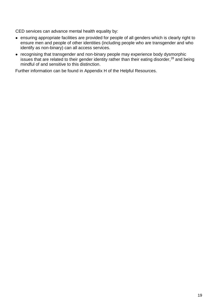CED services can advance mental health equality by:

- ensuring appropriate facilities are provided for people of all genders which is clearly right to ensure men and people of other identities (including people who are transgender and who identify as non-binary) can all access services.
- recognising that transgender and non-binary people may experience body dysmorphic issues that are related to their gender identity rather than their eating disorder,<sup>28</sup> and being mindful of and sensitive to this distinction.

Further information can be found in Appendix H of the Helpful Resources.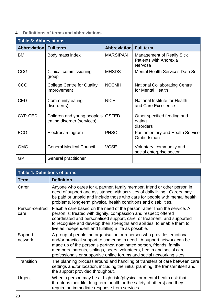#### <span id="page-19-0"></span>**4. . Definitions of terms and abbreviations**

| <b>Table 3: Abbreviations</b> |                                                           |                     |                                                                       |
|-------------------------------|-----------------------------------------------------------|---------------------|-----------------------------------------------------------------------|
| Abbreviation Full term        |                                                           | <b>Abbreviation</b> | <b>Full term</b>                                                      |
| <b>BMI</b>                    | Body mass index                                           | <b>MARSIPAN</b>     | <b>Management of Really Sick</b><br>Patients with Anorexia<br>Nervosa |
| <b>CCG</b>                    | Clinical commissioning<br>group                           | <b>MHSDS</b>        | <b>Mental Health Services Data Set</b>                                |
| <b>CCQI</b>                   | <b>College Centre for Quality</b><br>Improvement          | <b>NCCMH</b>        | <b>National Collaborating Centre</b><br>for Mental Health             |
| <b>CED</b>                    | Community eating<br>disorder(s)                           | <b>NICE</b>         | National Institute for Health<br>and Care Excellence                  |
| CYP-CED                       | Children and young people's<br>eating disorder (services) | <b>OSFED</b>        | Other specified feeding and<br>eating<br>disorders                    |
| <b>ECG</b>                    | Electrocardiogram                                         | <b>PHSO</b>         | <b>Parliamentary and Health Service</b><br>Ombudsman                  |
| <b>GMC</b>                    | <b>General Medical Council</b>                            | <b>VCSE</b>         | Voluntary, community and<br>social enterprise sector                  |
| <b>GP</b>                     | General practitioner                                      |                     |                                                                       |

| <b>Table 4: Definitions of terms</b> |                                                                                                                                                                                                                                                                                                                                                                         |  |
|--------------------------------------|-------------------------------------------------------------------------------------------------------------------------------------------------------------------------------------------------------------------------------------------------------------------------------------------------------------------------------------------------------------------------|--|
| Term                                 | <b>Definition</b>                                                                                                                                                                                                                                                                                                                                                       |  |
| Carer                                | Anyone who cares for a partner, family member, friend or other person in<br>need of support and assistance with activities of daily living. Carers may<br>be paid or unpaid and include those who care for people with mental health<br>problems, long-term physical health conditions and disabilities.                                                                |  |
| Person-centred<br>care               | Flexible care based on the need of the person rather than the service. A<br>person is: treated with dignity, compassion and respect; offered<br>coordinated and personalised support, care or treatment; and supported<br>to recognise and develop their strengths and abilities, to enable them to<br>live as independent and fulfilling a life as possible.           |  |
| Support<br>network                   | A group of people, an organisation or a person who provides emotional<br>and/or practical support to someone in need. A support network can be<br>made up of the person's partner, nominated person, friends, family<br>members, parents, siblings, peers, volunteers, health and social care<br>professionals or supportive online forums and social networking sites. |  |
| <b>Transition</b>                    | The planning process around and handling of transfers of care between care<br>settings and/or location, including the initial planning, the transfer itself and<br>the support provided throughout.                                                                                                                                                                     |  |
| Urgent                               | When a person may be at high risk (physical or mental health risk that<br>threatens their life, long-term health or the safety of others) and they<br>require an immediate response from services.                                                                                                                                                                      |  |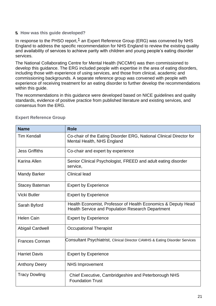#### <span id="page-20-0"></span>**5. How was this guide developed?**

In response to the PHSO report,<sup>1</sup> an Expert Reference Group (ERG) was convened by NHS England to address the specific recommendation for NHS England to review the existing quality and availability of services to achieve parity with children and young people's eating disorder services.

The National Collaborating Centre for Mental Health (NCCMH) was then commissioned to develop this guidance. The ERG included people with expertise in the area of eating disorders, including those with experience of using services, and those from clinical, academic and commissioning backgrounds. A separate reference group was convened with people with experience of receiving treatment for an eating disorder to further develop the recommendations within this guide.

The recommendations in this guidance were developed based on NICE guidelines and quality standards, evidence of positive practice from published literature and existing services, and consensus from the ERG.

| <b>Name</b>           | <b>Role</b>                                                                                                               |
|-----------------------|---------------------------------------------------------------------------------------------------------------------------|
| <b>Tim Kendall</b>    | Co-chair of the Eating Disorder ERG, National Clinical Director for<br>Mental Health, NHS England                         |
| <b>Jess Griffiths</b> | Co-chair and expert by experience                                                                                         |
| Karina Allen          | Senior Clinical Psychologist, FREED and adult eating disorder<br>service,                                                 |
| <b>Mandy Barker</b>   | <b>Clinical lead</b>                                                                                                      |
| <b>Stacey Bateman</b> | <b>Expert by Experience</b>                                                                                               |
| <b>Vicki Butler</b>   | <b>Expert by Experience</b>                                                                                               |
| Sarah Byford          | Health Economist, Professor of Health Economics & Deputy Head<br><b>Health Service and Population Research Department</b> |
| <b>Helen Cain</b>     | <b>Expert by Experience</b>                                                                                               |
| Abigail Cardwell      | <b>Occupational Therapist</b>                                                                                             |
| <b>Frances Connan</b> | Consultant Psychiatrist, Clinical Director CAMHS & Eating Disorder Services                                               |
| <b>Harriet Davis</b>  | <b>Expert by Experience</b>                                                                                               |
| <b>Anthony Deery</b>  | <b>NHS Improvement</b>                                                                                                    |
| <b>Tracy Dowling</b>  | Chief Executive, Cambridgeshire and Peterborough NHS<br><b>Foundation Trust</b>                                           |

#### **Expert Reference Group**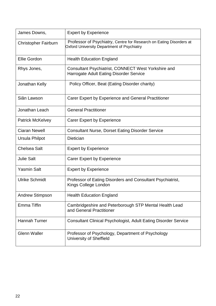| James Downs,                | <b>Expert by Experience</b>                                                                                              |
|-----------------------------|--------------------------------------------------------------------------------------------------------------------------|
| <b>Christopher Fairburn</b> | Professor of Psychiatry, Centre for Research on Eating Disorders at<br><b>Oxford University Department of Psychiatry</b> |
| Ellie Gordon                | <b>Health Education England</b>                                                                                          |
| Rhys Jones,                 | Consultant Psychiatrist, CONNECT West Yorkshire and<br>Harrogate Adult Eating Disorder Service                           |
| Jonathan Kelly              | Policy Officer, Beat (Eating Disorder charity)                                                                           |
| Siân Lawson                 | Carer Expert by Experience and General Practitioner                                                                      |
| Jonathan Leach              | <b>General Practitioner</b>                                                                                              |
| <b>Patrick McKelvey</b>     | <b>Carer Expert by Experience</b>                                                                                        |
| <b>Ciaran Newell</b>        | <b>Consultant Nurse, Dorset Eating Disorder Service</b>                                                                  |
| Ursula Philpot              | <b>Dietician</b>                                                                                                         |
| <b>Chelsea Salt</b>         | <b>Expert by Experience</b>                                                                                              |
| <b>Julie Salt</b>           | <b>Carer Expert by Experience</b>                                                                                        |
| <b>Yasmin Salt</b>          | <b>Expert by Experience</b>                                                                                              |
| <b>Ulrike Schmidt</b>       | Professor of Eating Disorders and Consultant Psychiatrist,<br>Kings College London                                       |
| <b>Andrew Stimpson</b>      | <b>Health Education England</b>                                                                                          |
| <b>Emma Tiffin</b>          | Cambridgeshire and Peterborough STP Mental Health Lead<br>and General Practitioner                                       |
| Hannah Turner               | <b>Consultant Clinical Psychologist, Adult Eating Disorder Service</b>                                                   |
| <b>Glenn Waller</b>         | Professor of Psychology, Department of Psychology<br>University of Sheffield                                             |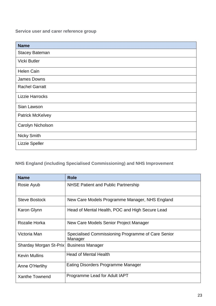**Service user and carer reference group**

| <b>Name</b>             |
|-------------------------|
| <b>Stacey Bateman</b>   |
| Vicki Butler            |
| <b>Helen Cain</b>       |
| James Downs             |
| <b>Rachel Garratt</b>   |
| <b>Lizzie Harrocks</b>  |
| Sian Lawson             |
| <b>Patrick McKelvey</b> |
| Carolyn Nicholson       |
| <b>Nicky Smith</b>      |
| <b>Lizzie Speller</b>   |

# **NHS England (including Specialised Commissioning) and NHS Improvement**

| <b>Name</b>            | <b>Role</b>                                                   |
|------------------------|---------------------------------------------------------------|
| Rosie Ayub             | <b>NHSE Patient and Public Partnership</b>                    |
| <b>Steve Bostock</b>   | New Care Models Programme Manager, NHS England                |
| Karon Glynn            | Head of Mental Health, POC and High Secure Lead               |
| Rozalie Horka          | New Care Models Senior Project Manager                        |
| Victoria Man           | Specialised Commissioning Programme of Care Senior<br>Manager |
| Sharday Morgan St-Prix | <b>Business Manager</b>                                       |
| <b>Kevin Mullins</b>   | <b>Head of Mental Health</b>                                  |
| Anne O'Herlihy         | Eating Disorders Programme Manager                            |
| Xanthe Townend         | Programme Lead for Adult IAPT                                 |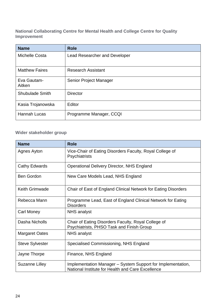**National Collaborating Centre for Mental Health and College Centre for Quality Improvement**

| <b>Name</b>            | <b>Role</b>                          |
|------------------------|--------------------------------------|
| Michelle Costa         | <b>Lead Researcher and Developer</b> |
| <b>Matthew Faires</b>  | <b>Research Assistant</b>            |
| Eva Gautam-<br>Aitken  | Senior Project Manager               |
| <b>Shubulade Smith</b> | <b>Director</b>                      |
| Kasia Trojanowska      | Editor                               |
| <b>Hannah Lucas</b>    | Programme Manager, CCQI              |

#### **Wider stakeholder group**

| <b>Name</b>            | <b>Role</b>                                                                                                      |
|------------------------|------------------------------------------------------------------------------------------------------------------|
| Agnes Ayton            | Vice-Chair of Eating Disorders Faculty, Royal College of<br><b>Psychiatrists</b>                                 |
| <b>Cathy Edwards</b>   | <b>Operational Delivery Director, NHS England</b>                                                                |
| <b>Ben Gordon</b>      | New Care Models Lead, NHS England                                                                                |
| <b>Keith Grimwade</b>  | Chair of East of England Clinical Network for Eating Disorders                                                   |
| Rebecca Mann           | Programme Lead, East of England Clinical Network for Eating<br><b>Disorders</b>                                  |
| <b>Carl Money</b>      | NHS analyst                                                                                                      |
| Dasha Nicholls         | Chair of Eating Disorders Faculty, Royal College of<br>Psychiatrists, PHSO Task and Finish Group                 |
| <b>Margaret Oates</b>  | <b>NHS</b> analyst                                                                                               |
| <b>Steve Sylvester</b> | Specialised Commissioning, NHS England                                                                           |
| Jayne Thorpe           | Finance, NHS England                                                                                             |
| <b>Suzanne Lilley</b>  | Implementation Manager – System Support for Implementation,<br>National Institute for Health and Care Excellence |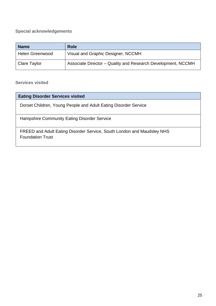# **Special acknowledgements**

| <b>Name</b>            | <b>Role</b>                                                  |
|------------------------|--------------------------------------------------------------|
| <b>Helen Greenwood</b> | Visual and Graphic Designer, NCCMH                           |
| Clare Taylor           | Associate Director – Quality and Research Development, NCCMH |

#### **Services visited**

| <b>Eating Disorder Services visited</b>                                                           |
|---------------------------------------------------------------------------------------------------|
| Dorset Children, Young People and Adult Eating Disorder Service                                   |
| <b>Hampshire Community Eating Disorder Service</b>                                                |
| FREED and Adult Eating Disorder Service, South London and Maudsley NHS<br><b>Foundation Trust</b> |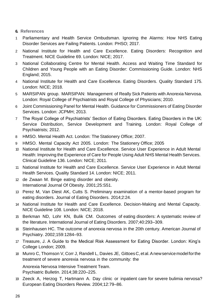<span id="page-25-0"></span>**6. References**

- 1 Parliamentary and Health Service Ombudsman. Ignoring the Alarms: How NHS Eating Disorder Services are Failing Patients. London: PHSO; 2017.
- 2 National Institute for Health and Care Excellence. Eating Disorders: Recognition and Treatment. NICE Guideline 69. London: NICE; 2017.
- 3 National Collaborating Centre for Mental Health. Access and Waiting Time Standard for Children and Young People with an Eating Disorder: Commissioning Guide. London: NHS England; 2015.
- 4 National Institute for Health and Care Excellence. Eating Disorders. Quality Standard 175. London: NICE; 2018.
- 5 MARSIPAN group. MARSIPAN: Management of Really Sick Patients with Anorexia Nervosa. London: Royal College of Psychiatrists and Royal College of Physicians; 2010.
- 6 Joint Commissioning Panel for Mental Health. Guidance for Commissioners of Eating Disorder Services. London: JCPMH; 2013.
- 7 The Royal College of Psychiatrists' Section of Eating Disorders. Eating Disorders in the UK: Service Distribution, Service Development and Training. London: Royal College of Psychiatrists; 2012.
- 8 HMSO. Mental Health Act. London: The Stationery Office; 2007.
- 9 HMSO. Mental Capacity Act 2005. London: The Stationery Office; 2005
- 10 National Institute for Health and Care Excellence. Service User Experience in Adult Mental Health: Improving the Experience of Care for People Using Adult NHS Mental Health Services. Clinical Guideline 136. London: NICE; 2011.
- 11 National Institute for Health and Care Excellence. Service User Experience in Adult Mental Health Services. Quality Standard 14. London: NICE; 2011.
- 12 de Zwaan M. Binge eating disorder and obesity. International Journal Of Obesity. 2001;25:S51.
- 13 Perez M, Van Diest AK, Cutts S. Preliminary examination of a mentor-based program for eating disorders. Journal of Eating Disorders. 2014;2:24.
- 14 National Institute for Health and Care Excellence. Decision-Making and Mental Capacity. NICE Guideline 108. London: NICE; 2018.
- 15 Berkman ND, Lohr KN, Bulik CM. Outcomes of eating disorders: A systematic review of the literature. International Journal of Eating Disorders. 2007;40:293–309.
- 16 Steinhausen HC. The outcome of anorexia nervosa in the 20th century. American Journal of Psychiatry. 2002;159:1284–93.
- 17 Treasure, J. A Guide to the Medical Risk Assessment for Eating Disorder. London: King's College London; 2009.
- 18 Munro C, Thomson V, Corr J, Randell L, Davies JE, GittoesC,etal.Anewservicemodelforthe treatment of severe anorexia nervosa in the community: the

Anorexia Nervosa Intensive Treatment Team. Psychiatric Bulletin. 2014;38:220–225.

19 Zeeck A, Herzog T, Hartmann A. Day clinic or inpatient care for severe bulimia nervosa? European Eating Disorders Review. 2004;12:79–86.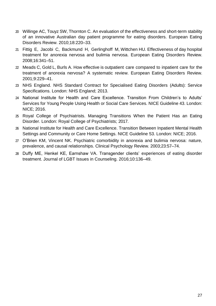- 20 Willinge AC, Touyz SW, Thornton C. An evaluation of the effectiveness and short-term stability of an innovative Australian day patient programme for eating disorders. European Eating Disorders Review. 2010;18:220–33.
- 21 Fittig E, Jacobi C, Backmund H, Gerlinghoff M, Wittchen HU. Effectiveness of day hospital treatment for anorexia nervosa and bulimia nervosa. European Eating Disorders Review. 2008;16:341–51.
- 22 Meads C, Gold L, Burls A. How effective is outpatient care compared to inpatient care for the treatment of anorexia nervosa? A systematic review. European Eating Disorders Review. 2001;9:229–41.
- 23 NHS England. NHS Standard Contract for Specialised Eating Disorders (Adults): Service Specifications. London: NHS England; 2013.
- 24 National Institute for Health and Care Excellence. Transition From Children's to Adults' Services for Young People Using Health or Social Care Services. NICE Guideline 43. London: NICE; 2016.
- 25 Royal College of Psychiatrists. Managing Transitions When the Patient Has an Eating Disorder. London: Royal College of Psychiatrists; 2017.
- 26 National Institute for Health and Care Excellence. Transition Between Inpatient Mental Health Settings and Community or Care Home Settings. NICE Guideline 53. London: NICE; 2016.
- 27 O'Brien KM, Vincent NK. Psychiatric comorbidity in anorexia and bulimia nervosa: nature, prevalence, and causal relationships. Clinical Psychology Review. 2003;23:57–74.
- 28 Duffy ME, Henkel KE, Earnshaw VA. Transgender clients' experiences of eating disorder treatment. Journal of LGBT Issues in Counseling. 2016;10:136–49.